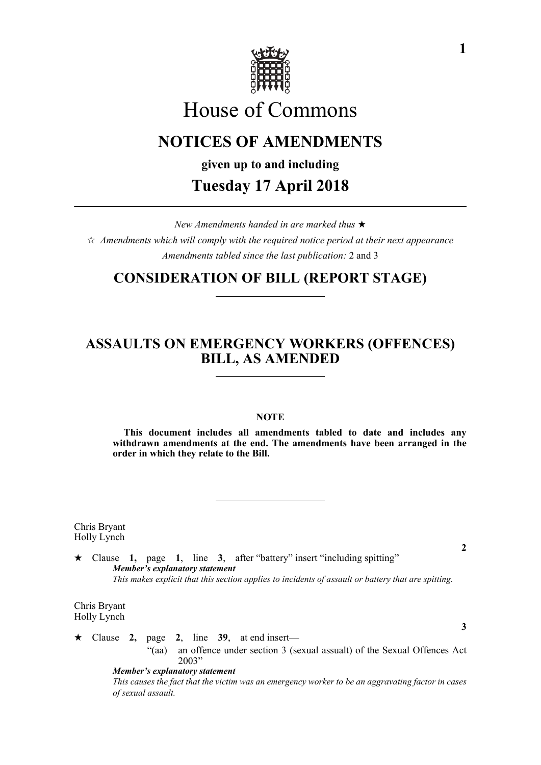

# House of Commons

## **NOTICES OF AMENDMENTS**

**given up to and including**

## **Tuesday 17 April 2018**

*New Amendments handed in are marked thus*   $\hat{\varphi}$  Amendments which will comply with the required notice period at their next appearance *Amendments tabled since the last publication:* 2 and 3

#### **CONSIDERATION OF BILL (REPORT STAGE)**

## **ASSAULTS ON EMERGENCY WORKERS (OFFENCES) BILL, AS AMENDED**

#### **NOTE**

**This document includes all amendments tabled to date and includes any withdrawn amendments at the end. The amendments have been arranged in the order in which they relate to the Bill.**

Chris Bryant Holly Lynch

 Clause **1,** page **1**, line **3**, after "battery" insert "including spitting" *Member's explanatory statement This makes explicit that this section applies to incidents of assault or battery that are spitting.*

Chris Bryant Holly Lynch

 $\star$  Clause 2, page 2, line 39, at end insert—

"(aa) an offence under section 3 (sexual assualt) of the Sexual Offences Act 2003"

*Member's explanatory statement This causes the fact that the victim was an emergency worker to be an aggravating factor in cases of sexual assault.* 

**2**

**3**